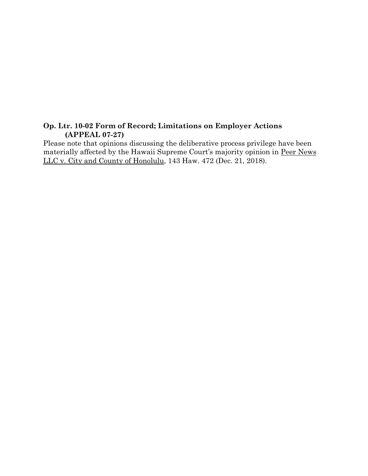## **Op. Ltr. 10-02 Form of Record; Limitations on Employer Actions (APPEAL 07-27)**

Please note that opinions discussing the deliberative process privilege have been materially affected by the Hawaii Supreme Court's majority opinion in Peer News LLC v. City and County of Honolulu, 143 Haw. 472 (Dec. 21, 2018).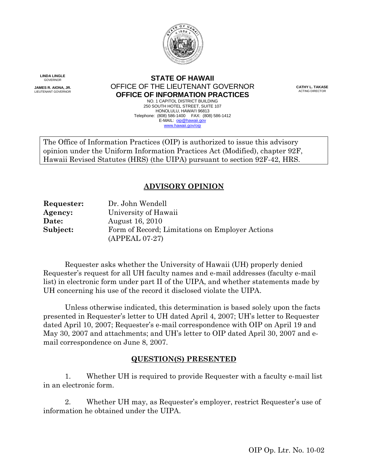

**LINDA LINGLE** GOVERNOR

 **JAMES R. AIONA, JR.**  LIEUTENANT GOVERNOR

#### **STATE OF HAWAII**  OFFICE OF THE LIEUTENANT GOVERNOR<br> **CATHY L. TAKASE ACTING DIRECTOR OFFICE OF INFORMATION PRACTICES**

NO. 1 CAPITOL DISTRICT BUILDING NO. 1 CAPITOL DISTRICT BUILDING<br>250 SOUTH HOTEL STREET, SUITE 107 HONOLULU, HAWAI'I 96813 HONOLULU, HAWAI'I 96813<br>Telephone: (808) 586-1400 FAX: (808) 586-1412 E-MAIL: oip@hawaii.gov www.hawaii.gov/oip

The Office of Information Practices (OIP) is authorized to issue this advisory opinion under the Uniform Information Practices Act (Modified), chapter 92F, Hawaii Revised Statutes (HRS) (the UIPA) pursuant to section 92F-42, HRS.

# **ADVISORY OPINION**

Requester: Agency: Date: Subject: **Requester:** Dr. John Wendell **Agency:** University of Hawaii **Date:** August 16, 2010 Form of Record; Limitations on Employer Actions (APPEAL 07-27)

Requester asks whether the University of Hawaii (UH) properly denied Requester's request for all UH faculty names and e-mail addresses (faculty e-mail list) in electronic form under part II of the UIPA, and whether statements made by UH concerning his use of the record it disclosed violate the UIPA.

Unless otherwise indicated, this determination is based solely upon the facts presented in Requester's letter to UH dated April 4, 2007; UH's letter to Requester dated April 10, 2007; Requester's e-mail correspondence with OIP on April 19 and May 30, 2007 and attachments; and UH's letter to OIP dated April 30, 2007 and email correspondence on June 8, 2007.

## **QUESTION(S) PRESENTED**

1. Whether UH is required to provide Requester with a faculty e-mail list in an electronic form.

2. Whether UH may, as Requester's employer, restrict Requester's use of information he obtained under the UIPA.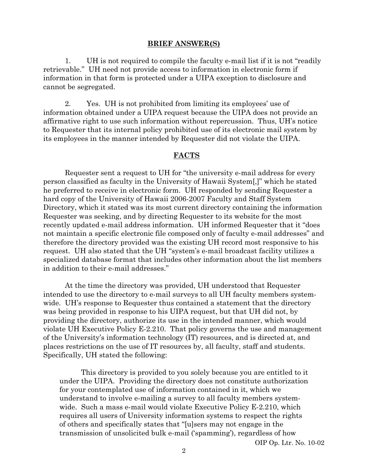#### **BRIEF ANSWER(S)**

1. UH is not required to compile the faculty e-mail list if it is not "readily retrievable." UH need not provide access to information in electronic form if information in that form is protected under a UIPA exception to disclosure and cannot be segregated.

2. Yes. UH is not prohibited from limiting its employees' use of information obtained under a UIPA request because the UIPA does not provide an affirmative right to use such information without repercussion. Thus, UH's notice to Requester that its internal policy prohibited use of its electronic mail system by its employees in the manner intended by Requester did not violate the UIPA.

### **FACTS**

Requester sent a request to UH for "the university e-mail address for every person classified as faculty in the University of Hawaii System[,]" which he stated he preferred to receive in electronic form. UH responded by sending Requester a hard copy of the University of Hawaii 2006-2007 Faculty and Staff System Directory, which it stated was its most current directory containing the information Requester was seeking, and by directing Requester to its website for the most recently updated e-mail address information. UH informed Requester that it "does not maintain a specific electronic file composed only of faculty e-mail addresses" and therefore the directory provided was the existing UH record most responsive to his request. UH also stated that the UH "system's e-mail broadcast facility utilizes a specialized database format that includes other information about the list members in addition to their e-mail addresses."

At the time the directory was provided, UH understood that Requester intended to use the directory to e-mail surveys to all UH faculty members systemwide. UH's response to Requester thus contained a statement that the directory was being provided in response to his UIPA request, but that UH did not, by providing the directory, authorize its use in the intended manner, which would violate UH Executive Policy E-2.210. That policy governs the use and management of the University's information technology (IT) resources, and is directed at, and places restrictions on the use of IT resources by, all faculty, staff and students. Specifically, UH stated the following:

This directory is provided to you solely because you are entitled to it under the UIPA. Providing the directory does not constitute authorization for your contemplated use of information contained in it, which we understand to involve e-mailing a survey to all faculty members systemwide. Such a mass e-mail would violate Executive Policy E-2.210, which requires all users of University information systems to respect the rights of others and specifically states that "[u]sers may not engage in the transmission of unsolicited bulk e-mail ('spamming'), regardless of how

OIP Op. Ltr. No. 10-02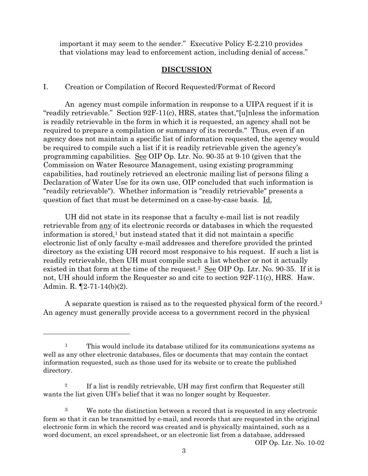important it may seem to the sender." Executive Policy E-2.210 provides that violations may lead to enforcement action, including denial of access."

#### **DISCUSSION**

I. Creation or Compilation of Record Requested/Format of Record

An agency must compile information in response to a UIPA request if it is "readily retrievable." Section 92F-11(c), HRS, states that,"[u]nless the information is readily retrievable in the form in which it is requested, an agency shall not be required to prepare a compilation or summary of its records." Thus, even if an agency does not maintain a specific list of information requested, the agency would be required to compile such a list if it is readily retrievable given the agency's programming capabilities. See OIP Op. Ltr. No. 90-35 at 9-10 (given that the Commission on Water Resource Management, using existing programming capabilities, had routinely retrieved an electronic mailing list of persons filing a Declaration of Water Use for its own use, OIP concluded that such information is "readily retrievable"). Whether information is "readily retrievable" presents a question of fact that must be determined on a case-by-case basis. Id.

UH did not state in its response that a faculty e-mail list is not readily retrievable from any of its electronic records or databases in which the requested information is stored,1 but instead stated that it did not maintain a specific electronic list of only faculty e-mail addresses and therefore provided the printed directory as the existing UH record most responsive to his request. If such a list is readily retrievable, then UH must compile such a list whether or not it actually existed in that form at the time of the request.2 See OIP Op. Ltr. No. 90-35. If it is not, UH should inform the Requester so and cite to section 92F-11(c), HRS. Haw. Admin. R. ¶2-71-14(b)(2).

 A separate question is raised as to the requested physical form of the record.3 An agency must generally provide access to a government record in the physical

 $\overline{a}$ 

 $\,1$ 1 This would include its database utilized for its communications systems as well as any other electronic databases, files or documents that may contain the contact information requested, such as those used for its website or to create the published directory.

 $\overline{2}$ 2 If a list is readily retrievable, UH may first confirm that Requester still wants the list given UH's belief that it was no longer sought by Requester.

 $\overline{3}$ We note the distinction between a record that is requested in any electronic form so that it can be transmitted by e-mail, and records that are requested in the original electronic form in which the record was created and is physically maintained, such as a word document, an excel spreadsheet, or an electronic list from a database, addressed OIP Op. Ltr. No. 10-02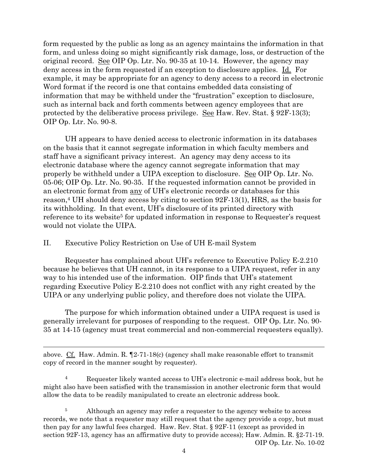OIP Op. Ltr. No. 90-8. form requested by the public as long as an agency maintains the information in that form, and unless doing so might significantly risk damage, loss, or destruction of the original record. See OIP Op. Ltr. No. 90-35 at 10-14. However, the agency may deny access in the form requested if an exception to disclosure applies. Id. For example, it may be appropriate for an agency to deny access to a record in electronic Word format if the record is one that contains embedded data consisting of information that may be withheld under the "frustration" exception to disclosure, such as internal back and forth comments between agency employees that are protected by the deliberative process privilege. See Haw. Rev. Stat.  $\S 92F-13(3)$ ;

UH appears to have denied access to electronic information in its databases on the basis that it cannot segregate information in which faculty members and staff have a significant privacy interest. An agency may deny access to its electronic database where the agency cannot segregate information that may properly be withheld under a UIPA exception to disclosure. See OIP Op. Ltr. No. 05-06; OIP Op. Ltr. No. 90-35. If the requested information cannot be provided in an electronic format from any of UH's electronic records or databases for this reason,4 UH should deny access by citing to section 92F-13(1), HRS, as the basis for its withholding. In that event, UH's disclosure of its printed directory with reference to its website<sup>5</sup> for updated information in response to Requester's request would not violate the UIPA.

#### II. Executive Policy Restriction on Use of UH E-mail System

 $\overline{a}$ 

Requester has complained about UH's reference to Executive Policy E-2.210 because he believes that UH cannot, in its response to a UIPA request, refer in any way to his intended use of the information. OIP finds that UH's statement regarding Executive Policy E-2.210 does not conflict with any right created by the UIPA or any underlying public policy, and therefore does not violate the UIPA.

The purpose for which information obtained under a UIPA request is used is generally irrelevant for purposes of responding to the request. OIP Op. Ltr. No. 90 35 at 14-15 (agency must treat commercial and non-commercial requesters equally).

above. Cf. Haw. Admin. R. ¶2-71-18(c) (agency shall make reasonable effort to transmit copy of record in the manner sought by requester).

4 Requester likely wanted access to UH's electronic e-mail address book, but he might also have been satisfied with the transmission in another electronic form that would allow the data to be readily manipulated to create an electronic address book.

 $\bf 5$ 5 Although an agency may refer a requester to the agency website to access records, we note that a requester may still request that the agency provide a copy, but must then pay for any lawful fees charged. Haw. Rev. Stat. § 92F-11 (except as provided in section 92F-13, agency has an affirmative duty to provide access); Haw. Admin. R. §2-71-19. OIP Op. Ltr. No. 10-02